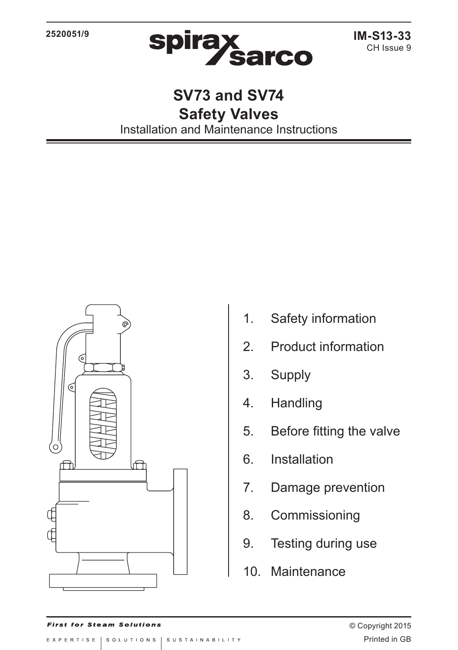

**SV73 and SV74 Safety Valves** Installation and Maintenance Instructions



- 1. Safety information
- 2. Product information
- 3. Supply
- 4. Handling
- 5. Before fitting the valve
- 6. Installation
- 7. Damage prevention
- 8. Commissioning
- 9. Testing during use
- 10. Maintenance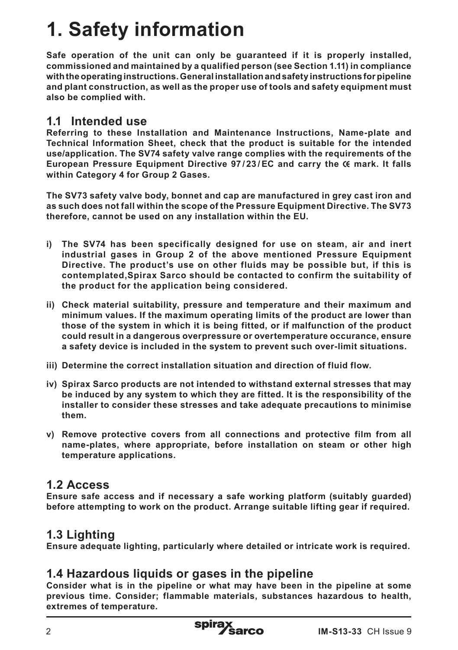# **1. Safety information**

**Safe operation of the unit can only be guaranteed if it is properly installed, commissioned and maintained by a qualified person (see Section 1.11) in compliance with the operating instructions. General installation and safety instructions for pipeline and plant construction, as well as the proper use of tools and safety equipment must also be complied with.**

### **1.1 Intended use**

**Referring to these Installation and Maintenance Instructions, Name-plate and Technical Information Sheet, check that the product is suitable for the intended use/application. The SV74 safety valve range complies with the requirements of the European Pressure Equipment Directive 97/23/EC and carry the**  $\epsilon$  **mark. It falls within Category 4 for Group 2 Gases.**

**The SV73 safety valve body, bonnet and cap are manufactured in grey cast iron and as such does not fall within the scope of the Pressure Equipment Directive. The SV73 therefore, cannot be used on any installation within the EU.**

- **i) The SV74 has been specifically designed for use on steam, air and inert industrial gases in Group 2 of the above mentioned Pressure Equipment Directive. The product's use on other fluids may be possible but, if this is contemplated,Spirax Sarco should be contacted to confirm the suitability of the product for the application being considered.**
- **ii) Check material suitability, pressure and temperature and their maximum and minimum values. If the maximum operating limits of the product are lower than those of the system in which it is being fitted, or if malfunction of the product could result in a dangerous overpressure or overtemperature occurance, ensure a safety device is included in the system to prevent such over-limit situations.**
- **iii) Determine the correct installation situation and direction of fluid flow.**
- **iv) Spirax Sarco products are not intended to withstand external stresses that may be induced by any system to which they are fitted. It is the responsibility of the installer to consider these stresses and take adequate precautions to minimise them.**
- **v) Remove protective covers from all connections and protective film from all name-plates, where appropriate, before installation on steam or other high temperature applications.**

## **1.2 Access**

**Ensure safe access and if necessary a safe working platform (suitably guarded) before attempting to work on the product. Arrange suitable lifting gear if required.**

# **1.3 Lighting**

**Ensure adequate lighting, particularly where detailed or intricate work is required.**

### **1.4 Hazardous liquids or gases in the pipeline**

**Consider what is in the pipeline or what may have been in the pipeline at some previous time. Consider; flammable materials, substances hazardous to health, extremes of temperature.**

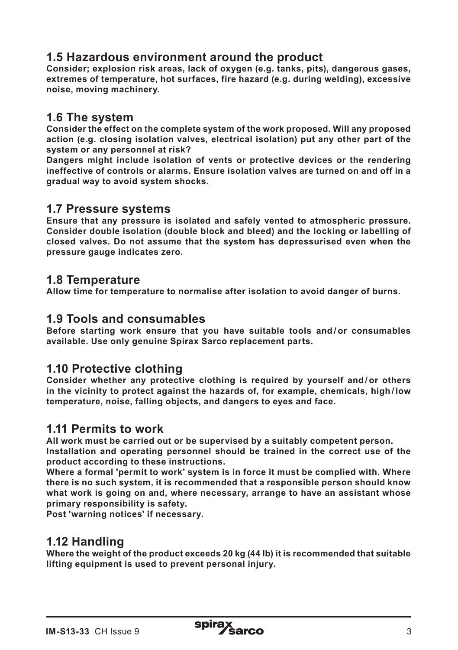## **1.5 Hazardous environment around the product**

**Consider; explosion risk areas, lack of oxygen (e.g. tanks, pits), dangerous gases, extremes of temperature, hot surfaces, fire hazard (e.g. during welding), excessive noise, moving machinery.**

#### **1.6 The system**

**Consider the effect on the complete system of the work proposed. Will any proposed action (e.g. closing isolation valves, electrical isolation) put any other part of the system or any personnel at risk?** 

**Dangers might include isolation of vents or protective devices or the rendering ineffective of controls or alarms. Ensure isolation valves are turned on and off in a gradual way to avoid system shocks.**

#### **1.7 Pressure systems**

**Ensure that any pressure is isolated and safely vented to atmospheric pressure. Consider double isolation (double block and bleed) and the locking or labelling of closed valves. Do not assume that the system has depressurised even when the pressure gauge indicates zero.**

#### **1.8 Temperature**

**Allow time for temperature to normalise after isolation to avoid danger of burns.**

#### **1.9 Tools and consumables**

**Before starting work ensure that you have suitable tools and / or consumables available. Use only genuine Spirax Sarco replacement parts.**

#### **1.10 Protective clothing**

**Consider whether any protective clothing is required by yourself and / or others in the vicinity to protect against the hazards of, for example, chemicals, high / low temperature, noise, falling objects, and dangers to eyes and face.**

#### **1.11 Permits to work**

**All work must be carried out or be supervised by a suitably competent person. Installation and operating personnel should be trained in the correct use of the product according to these instructions.**

**Where a formal 'permit to work' system is in force it must be complied with. Where there is no such system, it is recommended that a responsible person should know what work is going on and, where necessary, arrange to have an assistant whose primary responsibility is safety.**

**Post 'warning notices' if necessary.**

#### **1.12 Handling**

**Where the weight of the product exceeds 20 kg (44 lb) it is recommended that suitable lifting equipment is used to prevent personal injury.**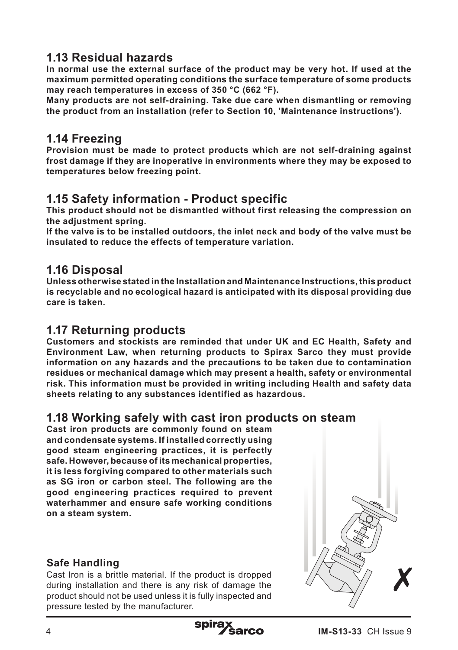# **1.13 Residual hazards**

**In normal use the external surface of the product may be very hot. If used at the maximum permitted operating conditions the surface temperature of some products may reach temperatures in excess of 350 °C (662 °F).**

**Many products are not self-draining. Take due care when dismantling or removing the product from an installation (refer to Section 10, 'Maintenance instructions').**

### **1.14 Freezing**

**Provision must be made to protect products which are not self-draining against frost damage if they are inoperative in environments where they may be exposed to temperatures below freezing point.** 

### **1.15 Safety information - Product specific**

**This product should not be dismantled without first releasing the compression on the adjustment spring.**

**If the valve is to be installed outdoors, the inlet neck and body of the valve must be insulated to reduce the effects of temperature variation.**

### **1.16 Disposal**

**Unless otherwise stated in the Installation and Maintenance Instructions, this product is recyclable and no ecological hazard is anticipated with its disposal providing due care is taken.**

### **1.17 Returning products**

**Customers and stockists are reminded that under UK and EC Health, Safety and Environment Law, when returning products to Spirax Sarco they must provide information on any hazards and the precautions to be taken due to contamination residues or mechanical damage which may present a health, safety or environmental risk. This information must be provided in writing including Health and safety data sheets relating to any substances identified as hazardous.**

#### **1.18 Working safely with cast iron products on steam**

**Cast iron products are commonly found on steam and condensate systems. If installed correctly using good steam engineering practices, it is perfectly safe. However, because of its mechanical properties, it is less forgiving compared to other materials such as SG iron or carbon steel. The following are the good engineering practices required to prevent waterhammer and ensure safe working conditions on a steam system.** 

#### **Safe Handling**

Cast Iron is a brittle material. If the product is dropped during installation and there is any risk of damage the product should not be used unless it is fully inspected and pressure tested by the manufacturer.



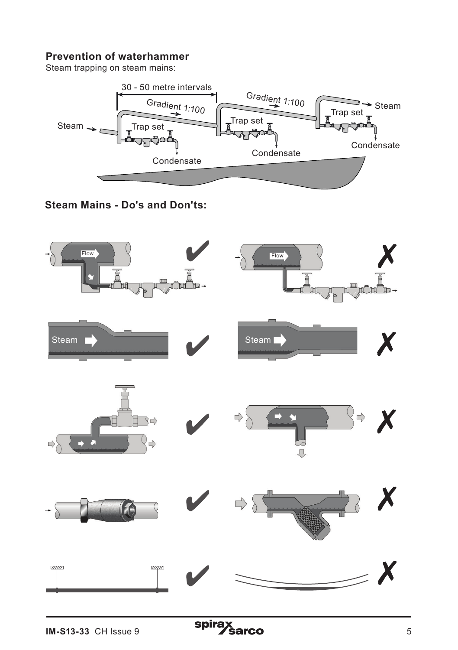#### **Prevention of waterhammer**

Steam trapping on steam mains:



**Steam Mains - Do's and Don'ts:**

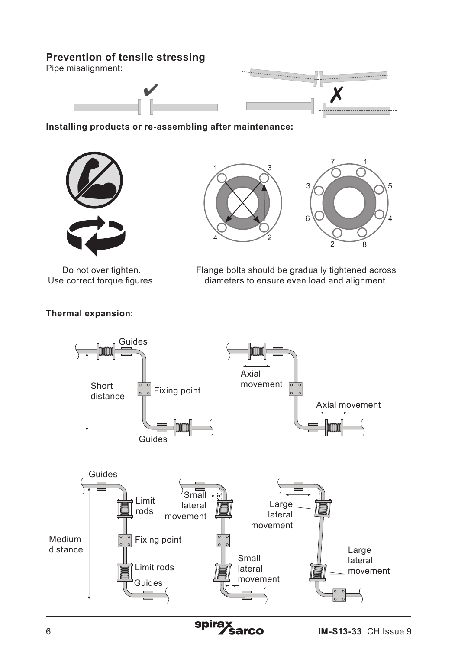#### **Prevention of tensile stressing**

Pipe misalignment:





**Installing products or re-assembling after maintenance:**



Do not over tighten. Use correct torque figures.





Flange bolts should be gradually tightened across diameters to ensure even load and alignment.



#### **Thermal expansion:**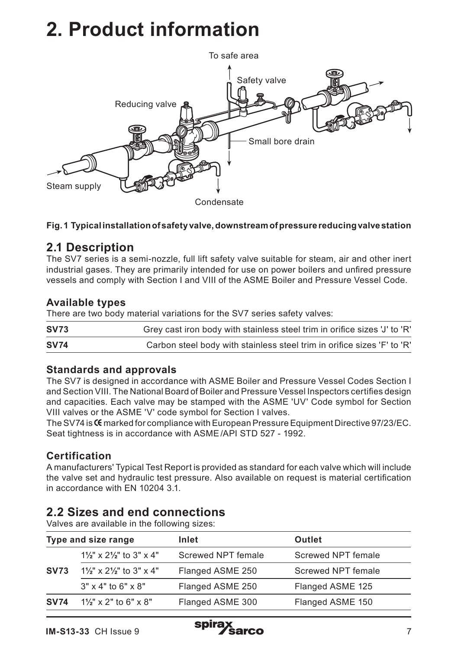# **2. Product information**



#### **Fig. 1 Typical installation of safety valve, downstream of pressure reducing valve station**

### **2.1 Description**

The SV7 series is a semi-nozzle, full lift safety valve suitable for steam, air and other inert industrial gases. They are primarily intended for use on power boilers and unfired pressure vessels and comply with Section I and VIII of the ASME Boiler and Pressure Vessel Code.

#### **Available types**

There are two body material variations for the SV7 series safety valves:

| <b>SV73</b> | Grey cast iron body with stainless steel trim in orifice sizes 'J' to 'R' |
|-------------|---------------------------------------------------------------------------|
| <b>SV74</b> | Carbon steel body with stainless steel trim in orifice sizes 'F' to 'R'   |

#### **Standards and approvals**

The SV7 is designed in accordance with ASME Boiler and Pressure Vessel Codes Section I and Section VIII. The National Board of Boiler and Pressure Vessel Inspectors certifies design and capacities. Each valve may be stamped with the ASME 'UV' Code symbol for Section VIII valves or the ASME 'V' code symbol for Section I valves.

The SV74 is CG marked for compliance with European Pressure Equipment Directive 97/23/EC. Seat tightness is in accordance with ASME/API STD 527 - 1992.

#### **Certification**

A manufacturers' Typical Test Report is provided as standard for each valve which will include the valve set and hydraulic test pressure. Also available on request is material certification in accordance with EN 10204 3.1.

# **2.2 Sizes and end connections**

Valves are available in the following sizes:

| Type and size range |                                                 | Inlet              | Outlet             |  |
|---------------------|-------------------------------------------------|--------------------|--------------------|--|
|                     | $1\frac{1}{2}$ " x $2\frac{1}{2}$ " to 3" x 4"  | Screwed NPT female | Screwed NPT female |  |
| <b>SV73</b>         | $1\frac{1}{2}$ " x 2 $\frac{1}{2}$ " to 3" x 4" | Flanged ASME 250   | Screwed NPT female |  |
|                     | $3" \times 4"$ to 6" $\times 8"$                | Flanged ASME 250   | Flanged ASME 125   |  |
| <b>SV74</b>         | $1\frac{1}{2}$ " x 2" to 6" x 8"                | Flanged ASME 300   | Flanged ASME 150   |  |

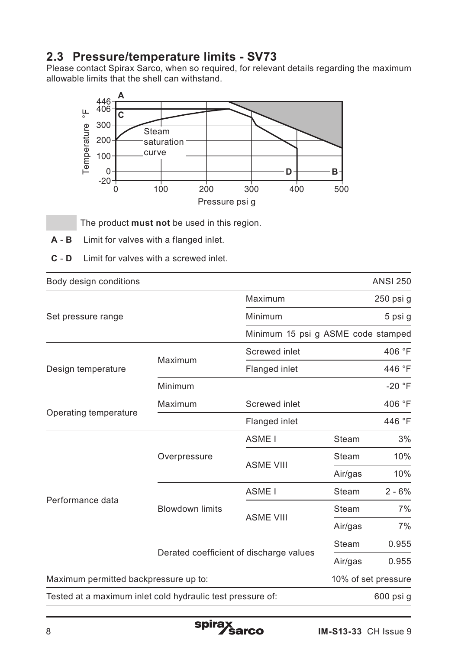# **2.3 Pressure/temperature limits - SV73**

Please contact Spirax Sarco, when so required, for relevant details regarding the maximum allowable limits that the shell can withstand.



The product **must not** be used in this region.

- **A B** Limit for valves with a flanged inlet.
- **C D** Limit for valves with a screwed inlet.

| Body design conditions                                     |                                         |                                    |         | <b>ANSI 250</b>     |
|------------------------------------------------------------|-----------------------------------------|------------------------------------|---------|---------------------|
|                                                            |                                         | Maximum                            |         | $250$ psi g         |
| Set pressure range                                         | Minimum                                 |                                    | 5 psi g |                     |
|                                                            |                                         | Minimum 15 psi g ASME code stamped |         |                     |
|                                                            | Maximum                                 | Screwed inlet                      |         | 406 °F              |
| Design temperature                                         |                                         | Flanged inlet                      |         | 446 °F              |
|                                                            | Minimum                                 |                                    |         | $-20 °F$            |
|                                                            | Maximum                                 | Screwed inlet                      |         | 406 °F              |
| Operating temperature                                      |                                         | Flanged inlet                      |         | 446 °F              |
|                                                            |                                         | ASME <sub>I</sub>                  | Steam   | 3%                  |
|                                                            | Overpressure                            | <b>ASME VIII</b>                   | Steam   | 10%                 |
|                                                            |                                         |                                    | Air/gas | 10%                 |
|                                                            | <b>Blowdown limits</b>                  | ASME <sub>I</sub>                  | Steam   | $2 - 6%$            |
| Performance data                                           |                                         | <b>ASME VIII</b>                   | Steam   | 7%                  |
|                                                            |                                         |                                    | Air/gas | 7%                  |
|                                                            | Derated coefficient of discharge values |                                    | Steam   | 0.955               |
|                                                            |                                         |                                    | Air/gas | 0.955               |
| Maximum permitted backpressure up to:                      |                                         |                                    |         | 10% of set pressure |
| Tested at a maximum inlet cold hydraulic test pressure of: |                                         |                                    |         | 600 psi g           |

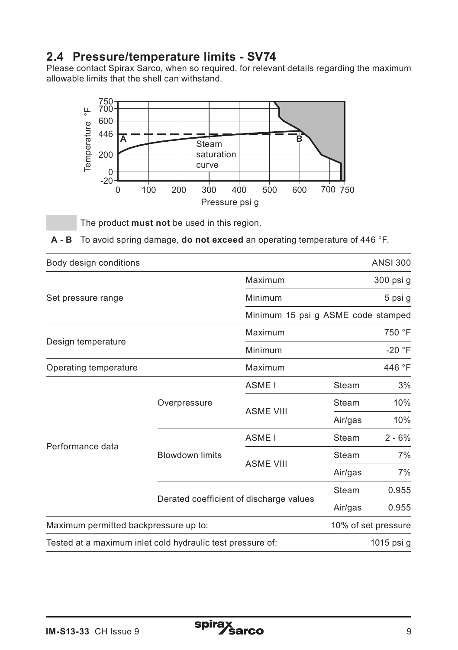### **2.4 Pressure/temperature limits - SV74**

Please contact Spirax Sarco, when so required, for relevant details regarding the maximum allowable limits that the shell can withstand.



The product **must not** be used in this region.

**A** - **B** To avoid spring damage, **do not exceed** an operating temperature of 446 °F.

| Body design conditions                                     |                                         |                   |                                    | <b>ANSI 300</b>     |  |  |  |
|------------------------------------------------------------|-----------------------------------------|-------------------|------------------------------------|---------------------|--|--|--|
|                                                            |                                         | Maximum           |                                    | 300 psi g           |  |  |  |
| Set pressure range                                         |                                         | Minimum           |                                    | 5 psi g             |  |  |  |
|                                                            |                                         |                   | Minimum 15 psi g ASME code stamped |                     |  |  |  |
| Design temperature                                         |                                         | Maximum           | 750 °F                             |                     |  |  |  |
|                                                            |                                         | Minimum           | $-20$ °F                           |                     |  |  |  |
| Operating temperature                                      |                                         | Maximum           |                                    | 446 °F              |  |  |  |
|                                                            |                                         | ASME <sub>I</sub> | Steam                              | 3%                  |  |  |  |
|                                                            | Overpressure                            | <b>ASME VIII</b>  | Steam                              | 10%                 |  |  |  |
|                                                            |                                         |                   | Air/gas                            | 10%                 |  |  |  |
|                                                            |                                         | ASME I            | Steam                              | $2 - 6%$            |  |  |  |
| Performance data                                           | <b>Blowdown limits</b>                  |                   | Steam                              | 7%                  |  |  |  |
|                                                            |                                         | <b>ASME VIII</b>  | Air/gas                            | 7%                  |  |  |  |
|                                                            | Derated coefficient of discharge values |                   | Steam                              | 0.955               |  |  |  |
|                                                            |                                         |                   | Air/gas                            | 0.955               |  |  |  |
| Maximum permitted backpressure up to:                      |                                         |                   |                                    | 10% of set pressure |  |  |  |
| Tested at a maximum inlet cold hydraulic test pressure of: |                                         |                   |                                    | 1015 psi g          |  |  |  |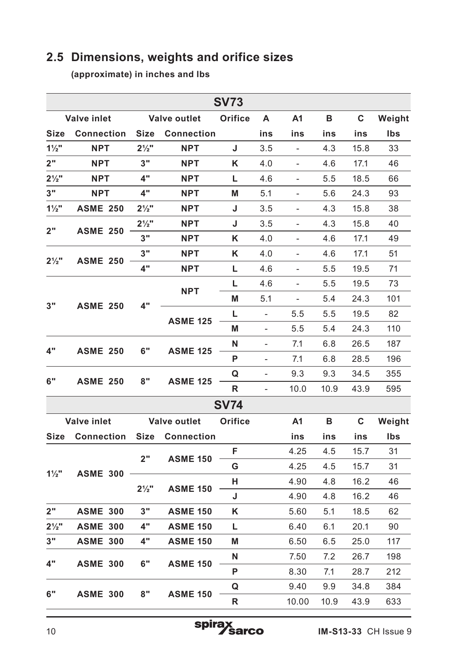# **2.5 Dimensions, weights and orifice sizes**

**(approximate) in inches and lbs**

| <b>SV73</b>      |                    |                  |                     |             |                              |                              |      |      |        |
|------------------|--------------------|------------------|---------------------|-------------|------------------------------|------------------------------|------|------|--------|
|                  | <b>Valve inlet</b> |                  | <b>Valve outlet</b> | Orifice     | Α                            | A1                           | в    | C    | Weight |
| Size             | <b>Connection</b>  | <b>Size</b>      | <b>Connection</b>   |             | ins                          | ins                          | ins  | ins  | Ibs    |
| $1\frac{1}{2}$   | <b>NPT</b>         | $2\frac{1}{2}$ " | <b>NPT</b>          | J           | 3.5                          | $\overline{a}$               | 4.3  | 15.8 | 33     |
| 2"               | <b>NPT</b>         | 3"               | <b>NPT</b>          | Κ           | 4.0                          | $\overline{\phantom{0}}$     | 4.6  | 17.1 | 46     |
| $2\frac{1}{2}$ " | <b>NPT</b>         | 4"               | <b>NPT</b>          | L           | 4.6                          | $\overline{\phantom{m}}$     | 5.5  | 18.5 | 66     |
| 3"               | <b>NPT</b>         | 4"               | <b>NPT</b>          | M           | 5.1                          | $\qquad \qquad -$            | 5.6  | 24.3 | 93     |
| $1\frac{1}{2}$   | <b>ASME 250</b>    | $2\frac{1}{2}$ " | <b>NPT</b>          | J           | 3.5                          | $\overline{\phantom{0}}$     | 4.3  | 15.8 | 38     |
| 2"               | <b>ASME 250</b>    | $2\frac{1}{2}$ " | <b>NPT</b>          | J           | 3.5                          | $\overline{a}$               | 4.3  | 15.8 | 40     |
|                  |                    | 3"               | <b>NPT</b>          | Κ           | 4.0                          |                              | 4.6  | 17.1 | 49     |
| $2\frac{1}{2}$ " | <b>ASME 250</b>    | 3"               | <b>NPT</b>          | κ           | 4.0                          | $\overline{\phantom{0}}$     | 4.6  | 17.1 | 51     |
|                  |                    | 4"               | <b>NPT</b>          | L           | 4.6                          | $\qquad \qquad \blacksquare$ | 5.5  | 19.5 | 71     |
|                  |                    |                  | <b>NPT</b>          | L           | 4.6                          | $\overline{a}$               | 5.5  | 19.5 | 73     |
| 3"               | <b>ASME 250</b>    | 4"               |                     | M           | 5.1                          | $\overline{\phantom{0}}$     | 5.4  | 24.3 | 101    |
|                  |                    |                  | <b>ASME 125</b>     | L           | $\overline{a}$               | 5.5                          | 5.5  | 19.5 | 82     |
|                  |                    |                  |                     | M           | $\overline{\phantom{0}}$     | 5.5                          | 5.4  | 24.3 | 110    |
| 4"               | <b>ASME 250</b>    | 6"               | <b>ASME 125</b>     | N           | $\overline{\phantom{m}}$     | 7.1                          | 6.8  | 26.5 | 187    |
|                  |                    |                  |                     | P           | $\qquad \qquad \blacksquare$ | 7.1                          | 6.8  | 28.5 | 196    |
| 6"               | <b>ASME 250</b>    | 8"               | <b>ASME 125</b>     | Q           | $\overline{\phantom{0}}$     | 9.3                          | 9.3  | 34.5 | 355    |
|                  |                    |                  |                     | R           |                              | 10.0                         | 10.9 | 43.9 | 595    |
|                  |                    |                  |                     | <b>SV74</b> |                              |                              |      |      |        |
|                  | <b>Valve inlet</b> |                  | <b>Valve outlet</b> | Orifice     |                              | A <sub>1</sub>               | в    | C    | Weight |
| <b>Size</b>      | <b>Connection</b>  | <b>Size</b>      | <b>Connection</b>   |             |                              | ins                          | ins  | ins  | Ibs    |
|                  | <b>ASME 300</b>    | 2"               | <b>ASME 150</b>     | F           |                              | 4.25                         | 4.5  | 15.7 | 31     |
| $1\frac{1}{2}$   |                    |                  |                     | G           |                              | 4.25                         | 4.5  | 15.7 | 31     |
|                  |                    | $2\frac{1}{2}$ " | <b>ASME 150</b>     | н           |                              | 4.90                         | 4.8  | 16.2 | 46     |
|                  |                    |                  |                     | J           |                              | 4.90                         | 4.8  | 16.2 | 46     |
| 2"               | <b>ASME 300</b>    | 3"               | <b>ASME 150</b>     | Κ           |                              | 5.60                         | 5.1  | 18.5 | 62     |
| $2\frac{1}{2}$ " | <b>ASME 300</b>    | 4"               | <b>ASME 150</b>     | г           |                              | 6.40                         | 6.1  | 20.1 | 90     |
| 3"               | <b>ASME 300</b>    | 4"               | <b>ASME 150</b>     | M           |                              | 6.50                         | 6.5  | 25.0 | 117    |
| 4"               | <b>ASME 300</b>    | 6"               | <b>ASME 150</b>     | N           |                              | 7.50                         | 7.2  | 26.7 | 198    |
|                  |                    |                  |                     | P           |                              | 8.30                         | 7.1  | 28.7 | 212    |
| 6"               | <b>ASME 300</b>    | 8"               | <b>ASME 150</b>     | Q           |                              | 9.40                         | 9.9  | 34.8 | 384    |
|                  |                    |                  |                     | R           |                              | 10.00                        | 10.9 | 43.9 | 633    |

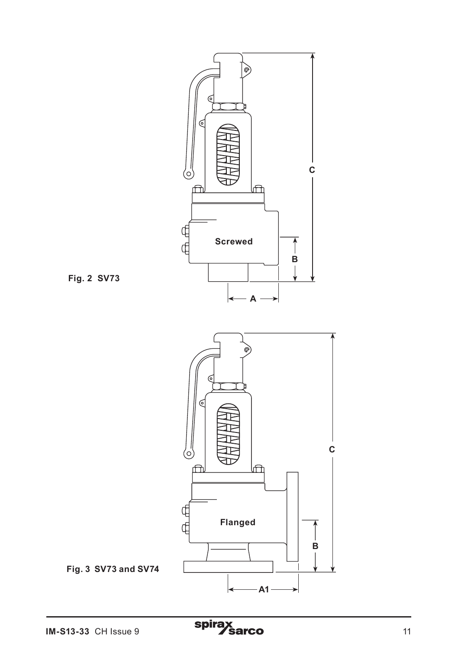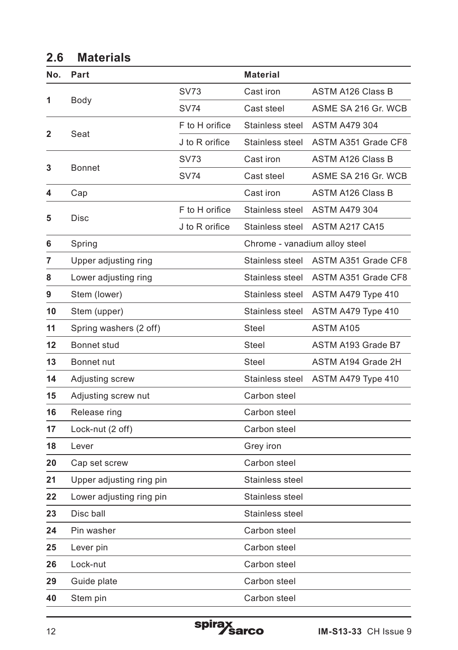# **2.6 Materials**

| No. | Part                     |                | <b>Material</b>               |                          |
|-----|--------------------------|----------------|-------------------------------|--------------------------|
|     |                          | <b>SV73</b>    | Cast iron                     | <b>ASTM A126 Class B</b> |
| 1   | Body                     | <b>SV74</b>    | Cast steel                    | ASME SA 216 Gr. WCB      |
|     |                          | F to H orifice | Stainless steel               | <b>ASTM A479 304</b>     |
| 2   | Seat                     | J to R orifice | Stainless steel               | ASTM A351 Grade CF8      |
| 3   | <b>Bonnet</b>            | SV73           | Cast iron                     | <b>ASTM A126 Class B</b> |
|     |                          | <b>SV74</b>    | Cast steel                    | ASME SA 216 Gr. WCB      |
| 4   | Cap                      |                | Cast iron                     | <b>ASTM A126 Class B</b> |
| 5   | Disc                     | F to H orifice | Stainless steel               | <b>ASTM A479 304</b>     |
|     |                          | J to R orifice | Stainless steel               | ASTM A217 CA15           |
| 6   | Spring                   |                | Chrome - vanadium alloy steel |                          |
| 7   | Upper adjusting ring     |                | Stainless steel               | ASTM A351 Grade CF8      |
| 8   | Lower adjusting ring     |                | Stainless steel               | ASTM A351 Grade CF8      |
| 9   | Stem (lower)             |                | Stainless steel               | ASTM A479 Type 410       |
| 10  | Stem (upper)             |                | Stainless steel               | ASTM A479 Type 410       |
| 11  | Spring washers (2 off)   |                | Steel                         | ASTM A105                |
| 12  | Bonnet stud              |                | Steel                         | ASTM A193 Grade B7       |
| 13  | Bonnet nut               |                | Steel                         | ASTM A194 Grade 2H       |
| 14  | Adjusting screw          |                | Stainless steel               | ASTM A479 Type 410       |
| 15  | Adjusting screw nut      |                | Carbon steel                  |                          |
| 16  | Release ring             |                | Carbon steel                  |                          |
| 17  | Lock-nut (2 off)         |                | Carbon steel                  |                          |
| 18  | Lever                    |                | Grey iron                     |                          |
| 20  | Cap set screw            |                | Carbon steel                  |                          |
| 21  | Upper adjusting ring pin |                | Stainless steel               |                          |
| 22  | Lower adjusting ring pin |                | Stainless steel               |                          |
| 23  | Disc ball                |                | Stainless steel               |                          |
| 24  | Pin washer               |                | Carbon steel                  |                          |
| 25  | Lever pin                |                | Carbon steel                  |                          |
| 26  | Lock-nut                 |                | Carbon steel                  |                          |
| 29  | Guide plate              |                | Carbon steel                  |                          |
| 40  | Stem pin                 |                | Carbon steel                  |                          |

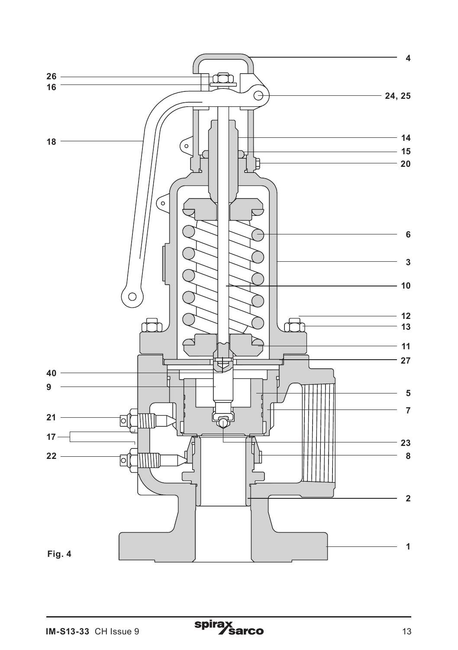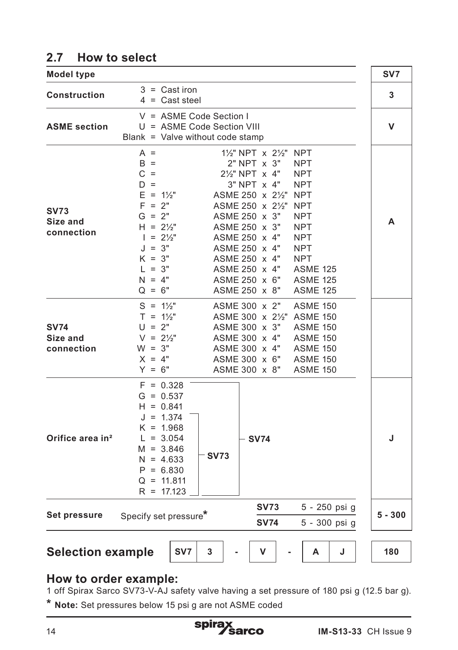# **2.7 How to select**

| <b>Model type</b>                     |                                                                                                                                                                                                                                                                                                                                                                                                                                                                                                                                                                                                                                                                    | SV7       |
|---------------------------------------|--------------------------------------------------------------------------------------------------------------------------------------------------------------------------------------------------------------------------------------------------------------------------------------------------------------------------------------------------------------------------------------------------------------------------------------------------------------------------------------------------------------------------------------------------------------------------------------------------------------------------------------------------------------------|-----------|
| Construction                          | $3 =$ Cast iron<br>$4 =$ Cast steel                                                                                                                                                                                                                                                                                                                                                                                                                                                                                                                                                                                                                                | 3         |
| <b>ASME</b> section                   | $V = ASME Code Section I$<br>U = ASME Code Section VIII<br>Blank = Valve without code stamp                                                                                                                                                                                                                                                                                                                                                                                                                                                                                                                                                                        | v         |
| <b>SV73</b><br>Size and<br>connection | $A =$<br>$1\frac{1}{2}$ " NPT x $2\frac{1}{2}$ "<br><b>NPT</b><br>$B =$<br>2" NPT x 3"<br>NPT<br>$C =$<br>2½" NPT x 4"<br><b>NPT</b><br>3" NPT x 4"<br>$D =$<br><b>NPT</b><br>$E = 1\frac{1}{2}$<br>ASME 250 x 2½"<br><b>NPT</b><br>$F = 2"$<br>ASME 250 x 21/2"<br><b>NPT</b><br>$G = 2"$<br>ASME 250 x 3"<br><b>NPT</b><br>ASME 250 x 3"<br>$H = 2\frac{1}{2}$<br><b>NPT</b><br>$1 = 2\frac{1}{2}$<br>ASME 250 x 4"<br>NPT<br>$J = 3"$<br>ASME 250 x 4"<br><b>NPT</b><br>$K = 3"$<br>ASME 250 x 4"<br><b>NPT</b><br>ASME 250 x 4"<br>$L = 3"$<br><b>ASME 125</b><br>$N = 4"$<br>ASME 250 x 6"<br><b>ASME 125</b><br>ASME 250 x 8"<br>$Q = 6"$<br><b>ASME 125</b> | A         |
| <b>SV74</b><br>Size and<br>connection | $S = 1\frac{1}{2}$<br>ASME 300 x 2"<br><b>ASME 150</b><br>ASME 300 x 21/2" ASME 150<br>$T = 1\frac{1}{2}$<br>$U = 2"$<br>ASME 300 x 3"<br><b>ASME 150</b><br>$V = 2\frac{1}{2}$ "<br>ASME 300 x 4"<br><b>ASME 150</b><br>$W = 3"$<br>ASME 300 x 4"<br><b>ASME 150</b><br>$X = 4"$<br>ASME 300 x 6"<br><b>ASME 150</b><br>$Y = 6"$<br>ASME 300 x 8"<br><b>ASME 150</b>                                                                                                                                                                                                                                                                                              |           |
| Orifice area in <sup>2</sup>          | $F = 0.328$<br>$G = 0.537$<br>$H = 0.841$<br>$J = 1.374$<br>$K = 1.968$<br>$L = 3.054$<br><b>SV74</b><br>$M = 3.846$<br><b>SV73</b><br>$N = 4.633$<br>$P = 6.830$<br>$Q = 11.811$<br>$R = 17.123$                                                                                                                                                                                                                                                                                                                                                                                                                                                                  | J         |
| Set pressure                          | <b>SV73</b><br>5 - 250 psi g<br>Specify set pressure*<br><b>SV74</b><br>5 - 300 psi g                                                                                                                                                                                                                                                                                                                                                                                                                                                                                                                                                                              | $5 - 300$ |
| <b>Selection example</b>              | SV7<br>3<br>v<br>А<br>J                                                                                                                                                                                                                                                                                                                                                                                                                                                                                                                                                                                                                                            | 180       |

### **How to order example:**

1 off Spirax Sarco SV73-V-AJ safety valve having a set pressure of 180 psi g (12.5 bar g).

**\* Note:** Set pressures below 15 psi g are not ASME coded

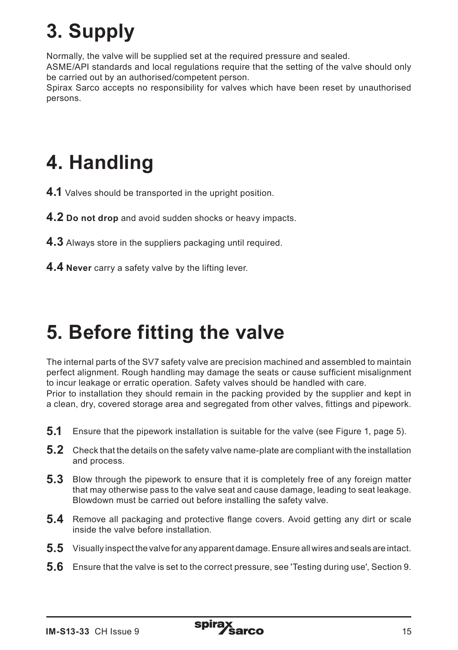# **3. Supply**

Normally, the valve will be supplied set at the required pressure and sealed.

ASME/API standards and local regulations require that the setting of the valve should only be carried out by an authorised/competent person.

Spirax Sarco accepts no responsibility for valves which have been reset by unauthorised persons.

# **4. Handling**

- **4.1** Valves should be transported in the upright position.
- **4.2 Do not drop** and avoid sudden shocks or heavy impacts.
- **4.3** Always store in the suppliers packaging until required.
- **4.4 Never** carry a safety valve by the lifting lever.

# **5. Before fitting the valve**

The internal parts of the SV7 safety valve are precision machined and assembled to maintain perfect alignment. Rough handling may damage the seats or cause sufficient misalignment to incur leakage or erratic operation. Safety valves should be handled with care. Prior to installation they should remain in the packing provided by the supplier and kept in a clean, dry, covered storage area and segregated from other valves, fittings and pipework.

- **5.1** Ensure that the pipework installation is suitable for the valve (see Figure 1, page 5).
- **5.2** Check that the details on the safety valve name-plate are compliant with the installation and process.
- **5.3** Blow through the pipework to ensure that it is completely free of any foreign matter that may otherwise pass to the valve seat and cause damage, leading to seat leakage. Blowdown must be carried out before installing the safety valve.
- **5.4** Remove all packaging and protective flange covers. Avoid getting any dirt or scale inside the valve before installation.
- **5.5** Visually inspect the valve for any apparent damage. Ensure all wires and seals are intact.
- **5.6** Ensure that the valve is set to the correct pressure, see 'Testing during use', Section 9.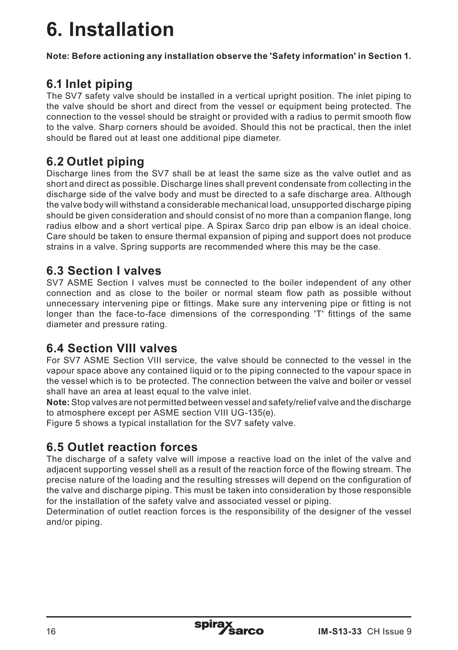# **6. Installation**

**Note: Before actioning any installation observe the 'Safety information' in Section 1.**

# **6.1 Inlet piping**

The SV7 safety valve should be installed in a vertical upright position. The inlet piping to the valve should be short and direct from the vessel or equipment being protected. The connection to the vessel should be straight or provided with a radius to permit smooth flow to the valve. Sharp corners should be avoided. Should this not be practical, then the inlet should be flared out at least one additional pipe diameter.

# **6.2 Outlet piping**

Discharge lines from the SV7 shall be at least the same size as the valve outlet and as short and direct as possible. Discharge lines shall prevent condensate from collecting in the discharge side of the valve body and must be directed to a safe discharge area. Although the valve body will withstand a considerable mechanical load, unsupported discharge piping should be given consideration and should consist of no more than a companion flange, long radius elbow and a short vertical pipe. A Spirax Sarco drip pan elbow is an ideal choice. Care should be taken to ensure thermal expansion of piping and support does not produce strains in a valve. Spring supports are recommended where this may be the case.

## **6.3 Section I valves**

SV7 ASME Section I valves must be connected to the boiler independent of any other connection and as close to the boiler or normal steam flow path as possible without unnecessary intervening pipe or fittings. Make sure any intervening pipe or fitting is not longer than the face-to-face dimensions of the corresponding 'T' fittings of the same diameter and pressure rating.

## **6.4 Section VIII valves**

For SV7 ASME Section VIII service, the valve should be connected to the vessel in the vapour space above any contained liquid or to the piping connected to the vapour space in the vessel which is to be protected. The connection between the valve and boiler or vessel shall have an area at least equal to the valve inlet.

**Note:** Stop valves are not permitted between vessel and safety/relief valve and the discharge to atmosphere except per ASME section VIII UG-135(e).

Figure 5 shows a typical installation for the SV7 safety valve.

# **6.5 Outlet reaction forces**

The discharge of a safety valve will impose a reactive load on the inlet of the valve and adjacent supporting vessel shell as a result of the reaction force of the flowing stream. The precise nature of the loading and the resulting stresses will depend on the configuration of the valve and discharge piping. This must be taken into consideration by those responsible for the installation of the safety valve and associated vessel or piping.

Determination of outlet reaction forces is the responsibility of the designer of the vessel and/or piping.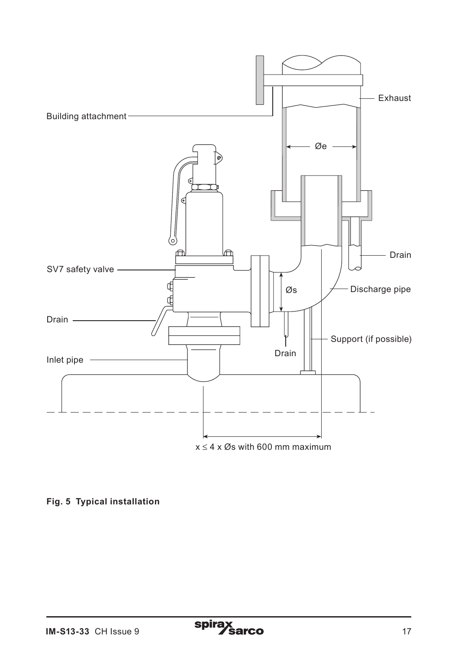

#### **Fig. 5 Typical installation**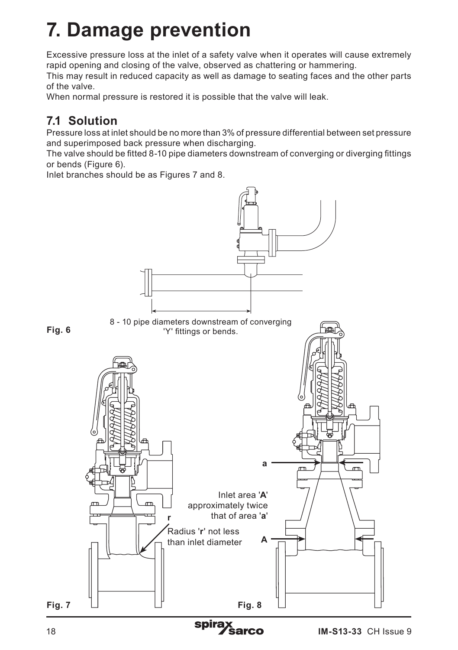# **7. Damage prevention**

Excessive pressure loss at the inlet of a safety valve when it operates will cause extremely rapid opening and closing of the valve, observed as chattering or hammering.

This may result in reduced capacity as well as damage to seating faces and the other parts of the valve.

When normal pressure is restored it is possible that the valve will leak.

# **7.1 Solution**

Pressure loss at inlet should be no more than 3% of pressure differential between set pressure and superimposed back pressure when discharging.

The valve should be fitted 8-10 pipe diameters downstream of converging or diverging fittings or bends (Figure 6).

Inlet branches should be as Figures 7 and 8.